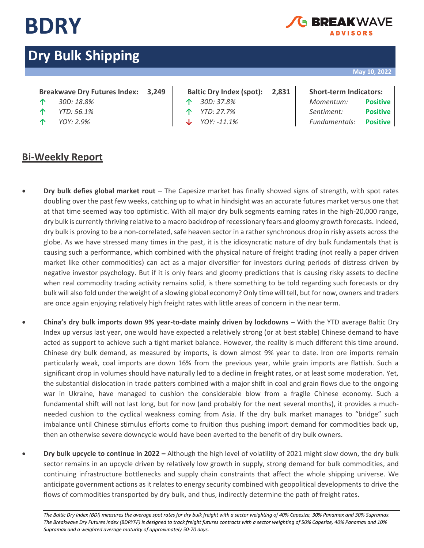

## FAKWA\ **IDVISORS**

# **Dry Bulk Shipping**

### **May 10, 2022**

## **Breakwave Dry Futures Index: 3,249 Baltic Dry Index (spot): 2,831 Short-term Indicators:**

- 
- 
- 

- 
- 
- 

**↑** *30D: 18.8%* **↑** *30D: 37.8% Momentum:* **Positive ↑** *YTD: 56.1%* **↑** *YTD: 27.7% Sentiment:* **Positive ↑** *YOY: 2.9%* **↓** *YOY: -11.1% Fundamentals:* **Positive**

## **Bi-Weekly Report**

- **Dry bulk defies global market rout –** The Capesize market has finally showed signs of strength, with spot rates doubling over the past few weeks, catching up to what in hindsight was an accurate futures market versus one that at that time seemed way too optimistic. With all major dry bulk segments earning rates in the high-20,000 range, dry bulk is currently thriving relative to a macro backdrop of recessionary fears and gloomy growth forecasts. Indeed, dry bulk is proving to be a non-correlated, safe heaven sector in a rather synchronous drop in risky assets across the globe. As we have stressed many times in the past, it is the idiosyncratic nature of dry bulk fundamentals that is causing such a performance, which combined with the physical nature of freight trading (not really a paper driven market like other commodities) can act as a major diversifier for investors during periods of distress driven by negative investor psychology. But if it is only fears and gloomy predictions that is causing risky assets to decline when real commodity trading activity remains solid, is there something to be told regarding such forecasts or dry bulk will also fold under the weight of a slowing global economy? Only time will tell, but for now, owners and traders are once again enjoying relatively high freight rates with little areas of concern in the near term.
- **China's dry bulk imports down 9% year-to-date mainly driven by lockdowns –** With the YTD average Baltic Dry Index up versus last year, one would have expected a relatively strong (or at best stable) Chinese demand to have acted as support to achieve such a tight market balance. However, the reality is much different this time around. Chinese dry bulk demand, as measured by imports, is down almost 9% year to date. Iron ore imports remain particularly weak, coal imports are down 16% from the previous year, while grain imports are flattish. Such a significant drop in volumes should have naturally led to a decline in freight rates, or at least some moderation. Yet, the substantial dislocation in trade patters combined with a major shift in coal and grain flows due to the ongoing war in Ukraine, have managed to cushion the considerable blow from a fragile Chinese economy. Such a fundamental shift will not last long, but for now (and probably for the next several months), it provides a muchneeded cushion to the cyclical weakness coming from Asia. If the dry bulk market manages to "bridge" such imbalance until Chinese stimulus efforts come to fruition thus pushing import demand for commodities back up, then an otherwise severe downcycle would have been averted to the benefit of dry bulk owners.
- **Dry bulk upcycle to continue in 2022 –** Although the high level of volatility of 2021 might slow down, the dry bulk sector remains in an upcycle driven by relatively low growth in supply, strong demand for bulk commodities, and continuing infrastructure bottlenecks and supply chain constraints that affect the whole shipping universe. We anticipate government actions as it relates to energy security combined with geopolitical developments to drive the flows of commodities transported by dry bulk, and thus, indirectly determine the path of freight rates.

The Baltic Dry Index (BDI) measures the average spot rates for dry bulk freight with a sector weighting of 40% Capesize, 30% Panamax and 30% Supramax. *The Breakwave Dry Futures Index (BDRYFF) is designed to track freight futures contracts with a sector weighting of 50% Capesize, 40% Panamax and 10% Supramax and a weighted average maturity of approximately 50-70 days.*